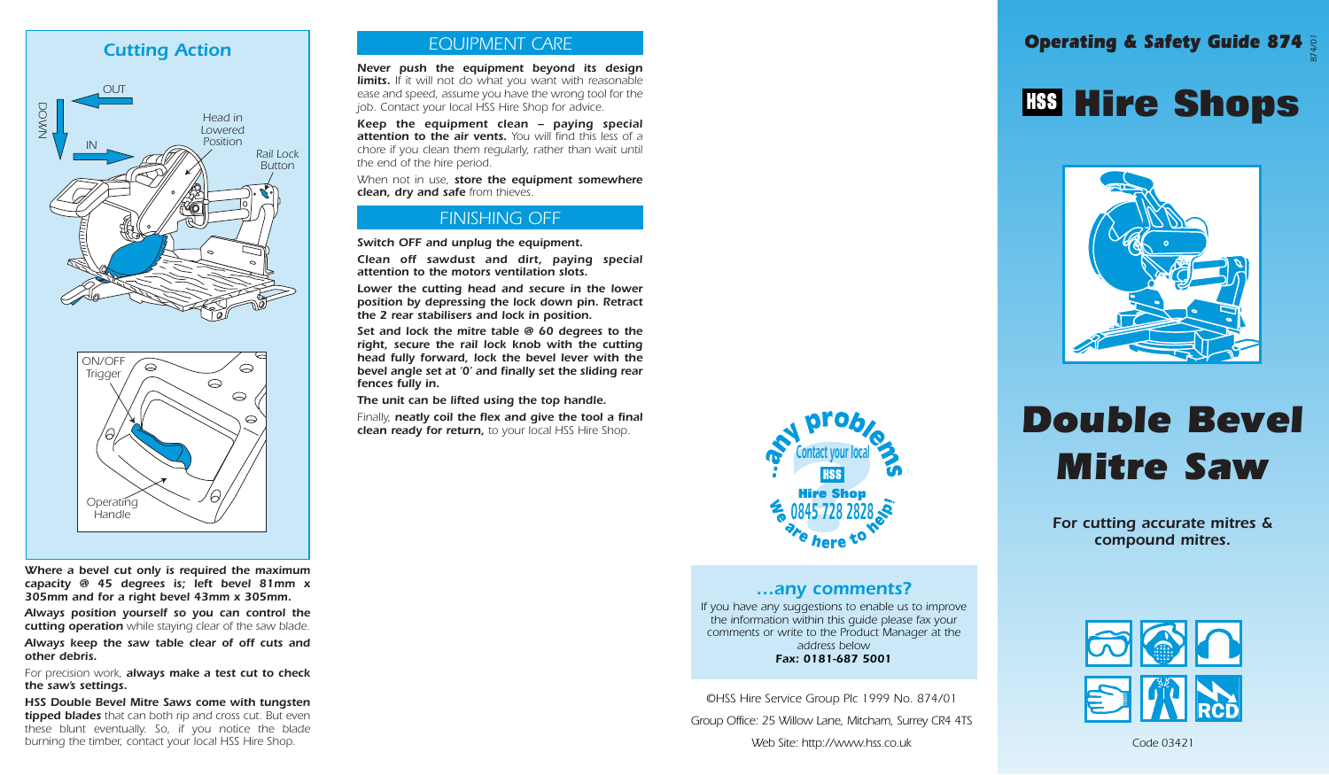### *Cutting Action*





*Where a bevel cut only is required the maximum capacity @ 45 degrees is; left bevel 81mm x 305mm and for a right bevel 43mm x 305mm.*

*Always position yourself so you can control the cutting operation while staying clear of the saw blade.*

*Always keep the saw table clear of off cuts and other debris.*

*For precision work, always make a test cut to check the saw's settings.*

*HSS Double Bevel Mitre Saws come with tungsten tipped blades that can both rip and cross cut. But even these blunt eventually. So, if you notice the blade burning the timber, contact your local HSS Hire Shop.*

### *EQUIPMENT CARE*

*Never push the equipment beyond its design limits. If it will not do what you want with reasonable ease and speed, assume you have the wrong tool for the job. Contact your local HSS Hire Shop for advice.*

*Keep the equipment clean – paying special attention to the air vents. You will find this less of a chore if you clean them regularly, rather than wait until the end of the hire period.*

*When not in use, store the equipment somewhere clean, dry and safe from thieves.*

### *FINISHING OFF*

*Switch OFF and unplug the equipment.*

*Clean off sawdust and dirt, paying special attention to the motors ventilation slots.*

*Lower the cutting head and secure in the lower position by depressing the lock down pin. Retract the 2 rear stabilisers and lock in position.*

*Set and lock the mitre table @ 60 degrees to the right, secure the rail lock knob with the cutting head fully forward, lock the bevel lever with the bevel angle set at '0' and finally set the sliding rear fences fully in.*

*The unit can be lifted using the top handle.*

*Finally, neatly coil the flex and give the tool a final clean ready for return, to your local HSS Hire Shop.*



#### *…any comments?*

*If you have any suggestions to enable us to improve the information within this guide please fax your comments or write to the Product Manager at the address below Fax: 0181-687 5001*

*©HSS Hire Service Group Plc 1999 No. 874/01 Group Office: 25 Willow Lane, Mitcham, Surrey CR4 4TS Web Site: http://www.hss.co.uk*

### *Operating & Safety Guide 874 874/01*

## **Hire Shops**



# *Double Bevel Mitre Saw*

*For cutting accurate mitres & compound mitres.*



*Code 03421*